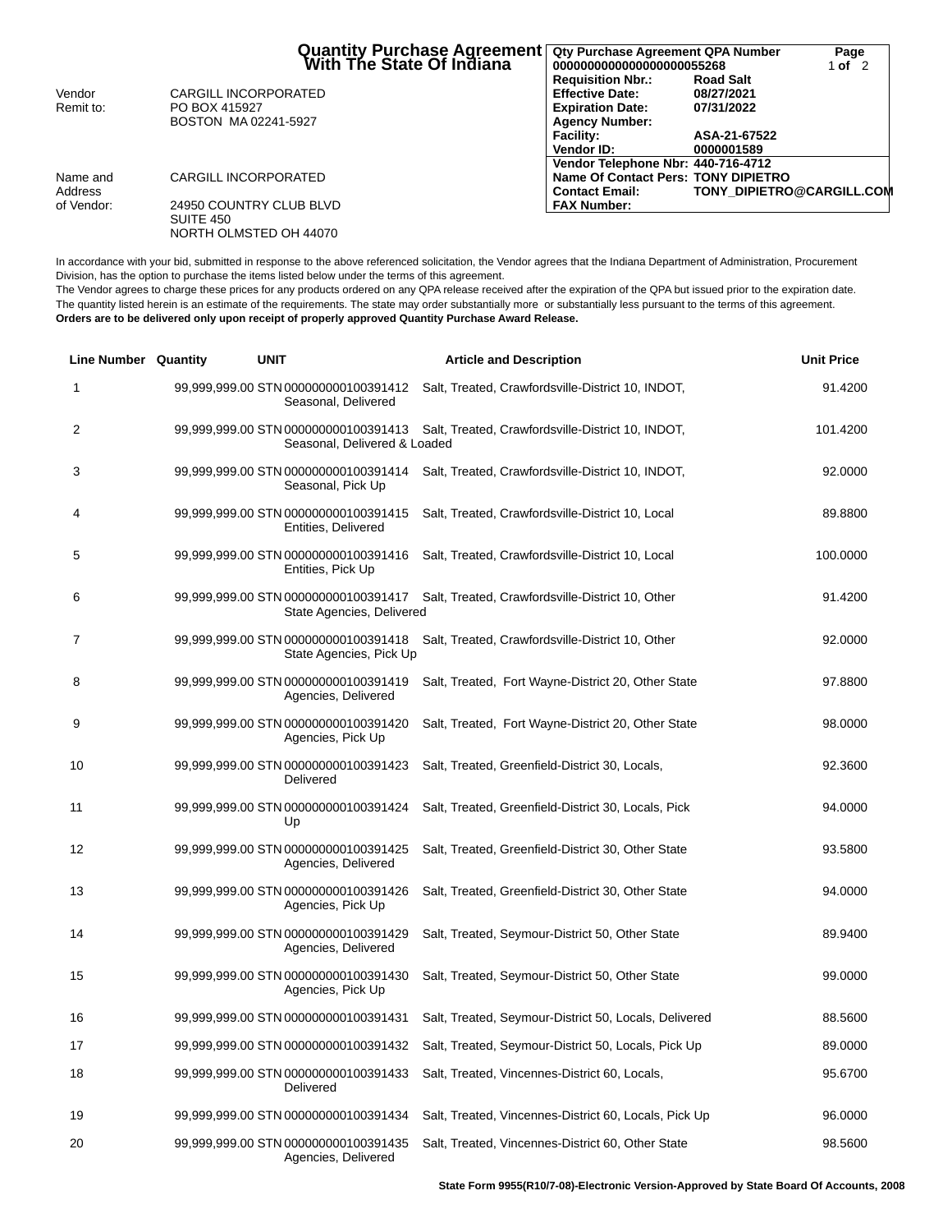|                       | Quantity Purchase Agreement<br>Mith The State Of Indiana | Qty Purchase Agreement QPA Number<br>0000000000000000000055268<br><b>Requisition Nbr.:</b> | <b>Road Salt</b>                 | Page<br>1 of $2$ |
|-----------------------|----------------------------------------------------------|--------------------------------------------------------------------------------------------|----------------------------------|------------------|
| Vendor                | CARGILL INCORPORATED                                     | <b>Effective Date:</b>                                                                     | 08/27/2021                       |                  |
| Remit to:             | PO BOX 415927<br>BOSTON MA 02241-5927                    | <b>Expiration Date:</b><br><b>Agency Number:</b>                                           | 07/31/2022                       |                  |
|                       |                                                          | <b>Facility:</b><br>Vendor ID:                                                             | ASA-21-67522<br>0000001589       |                  |
| Name and              | CARGILL INCORPORATED                                     | Vendor Telephone Nbr: 440-716-4712<br>Name Of Contact Pers: TONY DIPIETRO                  |                                  |                  |
| Address<br>of Vendor: | 24950 COUNTRY CLUB BLVD                                  | <b>Contact Email:</b><br><b>FAX Number:</b>                                                | <b>TONY DIPIETRO@CARGILL.COM</b> |                  |
|                       | SUITE 450<br>NORTH OLMSTED OH 44070                      |                                                                                            |                                  |                  |

In accordance with your bid, submitted in response to the above referenced solicitation, the Vendor agrees that the Indiana Department of Administration, Procurement Division, has the option to purchase the items listed below under the terms of this agreement.

The Vendor agrees to charge these prices for any products ordered on any QPA release received after the expiration of the QPA but issued prior to the expiration date. The quantity listed herein is an estimate of the requirements. The state may order substantially more or substantially less pursuant to the terms of this agreement. **Orders are to be delivered only upon receipt of properly approved Quantity Purchase Award Release.**

| <b>Line Number Quantity</b> | <b>UNIT</b>                                                          | <b>Article and Description</b>                        | <b>Unit Price</b> |
|-----------------------------|----------------------------------------------------------------------|-------------------------------------------------------|-------------------|
| 1                           | 99,999,999.00 STN 000000000100391412<br>Seasonal, Delivered          | Salt, Treated, Crawfordsville-District 10, INDOT,     | 91.4200           |
| 2                           | 99,999,999.00 STN 000000000100391413<br>Seasonal, Delivered & Loaded | Salt, Treated, Crawfordsville-District 10, INDOT,     | 101.4200          |
| 3                           | 99,999,999.00 STN 000000000100391414<br>Seasonal, Pick Up            | Salt, Treated, Crawfordsville-District 10, INDOT,     | 92.0000           |
| 4                           | 99,999,999.00 STN 000000000100391415<br>Entities, Delivered          | Salt, Treated, Crawfordsville-District 10, Local      | 89.8800           |
| 5                           | 99,999,999.00 STN 000000000100391416<br>Entities, Pick Up            | Salt, Treated, Crawfordsville-District 10, Local      | 100.0000          |
| 6                           | 99,999,999.00 STN 000000000100391417<br>State Agencies, Delivered    | Salt, Treated, Crawfordsville-District 10, Other      | 91.4200           |
| 7                           | 99,999,999.00 STN 000000000100391418<br>State Agencies, Pick Up      | Salt, Treated, Crawfordsville-District 10, Other      | 92.0000           |
| 8                           | 99,999,999.00 STN 000000000100391419<br>Agencies, Delivered          | Salt, Treated, Fort Wayne-District 20, Other State    | 97.8800           |
| 9                           | 99,999,999.00 STN 000000000100391420<br>Agencies, Pick Up            | Salt, Treated, Fort Wayne-District 20, Other State    | 98.0000           |
| 10                          | 99,999,999.00 STN 000000000100391423<br>Delivered                    | Salt, Treated, Greenfield-District 30, Locals,        | 92.3600           |
| 11                          | 99,999,999.00 STN 000000000100391424<br>Up                           | Salt, Treated, Greenfield-District 30, Locals, Pick   | 94.0000           |
| 12                          | 99,999,999.00 STN 000000000100391425<br>Agencies, Delivered          | Salt, Treated, Greenfield-District 30, Other State    | 93.5800           |
| 13                          | 99,999,999.00 STN 000000000100391426<br>Agencies, Pick Up            | Salt, Treated, Greenfield-District 30, Other State    | 94.0000           |
| 14                          | 99,999,999.00 STN 000000000100391429<br>Agencies, Delivered          | Salt, Treated, Seymour-District 50, Other State       | 89.9400           |
| 15                          | 99,999,999.00 STN 000000000100391430<br>Agencies, Pick Up            | Salt, Treated, Seymour-District 50, Other State       | 99.0000           |
| 16                          | 99,999,999.00 STN 000000000100391431                                 | Salt, Treated, Seymour-District 50, Locals, Delivered | 88.5600           |
| 17                          | 99,999,999.00 STN 000000000100391432                                 | Salt, Treated, Seymour-District 50, Locals, Pick Up   | 89.0000           |
| 18                          | 99,999,999.00 STN 000000000100391433<br>Delivered                    | Salt, Treated, Vincennes-District 60, Locals,         | 95.6700           |
| 19                          | 99,999,999.00 STN 000000000100391434                                 | Salt, Treated, Vincennes-District 60, Locals, Pick Up | 96.0000           |
| 20                          | 99,999,999.00 STN 000000000100391435<br>Agencies, Delivered          | Salt, Treated, Vincennes-District 60, Other State     | 98.5600           |